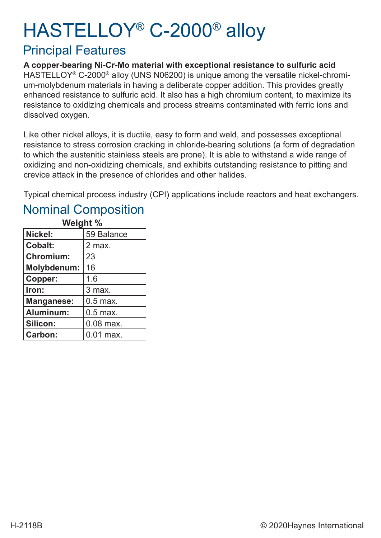# HASTELLOY® C-2000® alloy

#### Principal Features

**A copper-bearing Ni-Cr-Mo material with exceptional resistance to sulfuric acid** HASTELLOY® C-2000® alloy (UNS N06200) is unique among the versatile nickel-chromium-molybdenum materials in having a deliberate copper addition. This provides greatly enhanced resistance to sulfuric acid. It also has a high chromium content, to maximize its resistance to oxidizing chemicals and process streams contaminated with ferric ions and dissolved oxygen.

Like other nickel alloys, it is ductile, easy to form and weld, and possesses exceptional resistance to stress corrosion cracking in chloride-bearing solutions (a form of degradation to which the austenitic stainless steels are prone). It is able to withstand a wide range of oxidizing and non-oxidizing chemicals, and exhibits outstanding resistance to pitting and crevice attack in the presence of chlorides and other halides.

Typical chemical process industry (CPI) applications include reactors and heat exchangers.

#### Nominal Composition

| Weight %          |             |  |  |  |  |  |  |
|-------------------|-------------|--|--|--|--|--|--|
| Nickel:           | 59 Balance  |  |  |  |  |  |  |
| <b>Cobalt:</b>    | 2 max.      |  |  |  |  |  |  |
| <b>Chromium:</b>  | 23          |  |  |  |  |  |  |
| Molybdenum:       | 16          |  |  |  |  |  |  |
| Copper:           | 1.6         |  |  |  |  |  |  |
| Iron:             | 3 max.      |  |  |  |  |  |  |
| <b>Manganese:</b> | $0.5$ max.  |  |  |  |  |  |  |
| Aluminum:         | $0.5$ max.  |  |  |  |  |  |  |
| Silicon:          | $0.08$ max. |  |  |  |  |  |  |
| <b>Carbon:</b>    | $0.01$ max. |  |  |  |  |  |  |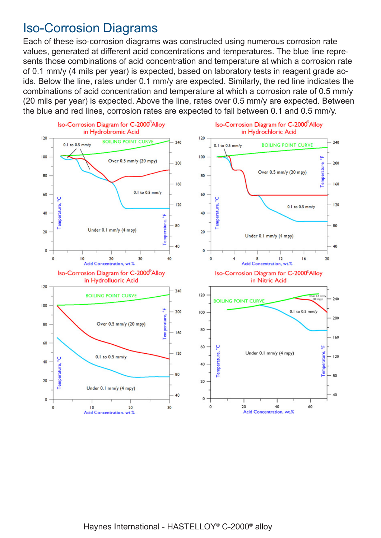#### Iso-Corrosion Diagrams

Each of these iso-corrosion diagrams was constructed using numerous corrosion rate values, generated at different acid concentrations and temperatures. The blue line represents those combinations of acid concentration and temperature at which a corrosion rate of 0.1 mm/y (4 mils per year) is expected, based on laboratory tests in reagent grade acids. Below the line, rates under 0.1 mm/y are expected. Similarly, the red line indicates the combinations of acid concentration and temperature at which a corrosion rate of 0.5 mm/y (20 mils per year) is expected. Above the line, rates over 0.5 mm/y are expected. Between the blue and red lines, corrosion rates are expected to fall between 0.1 and 0.5 mm/y.

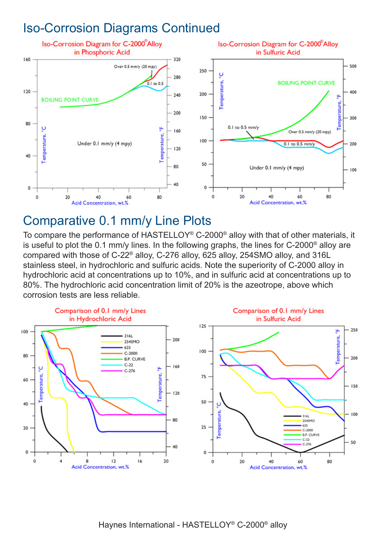#### Iso-Corrosion Diagrams Continued



#### Comparative 0.1 mm/y Line Plots

To compare the performance of HASTELLOY® C-2000® alloy with that of other materials, it is useful to plot the 0.1 mm/y lines. In the following graphs, the lines for C-2000® alloy are compared with those of C-22® alloy, C-276 alloy, 625 alloy, 254SMO alloy, and 316L stainless steel, in hydrochloric and sulfuric acids. Note the superiority of C-2000 alloy in hydrochloric acid at concentrations up to 10%, and in sulfuric acid at concentrations up to 80%. The hydrochloric acid concentration limit of 20% is the azeotrope, above which corrosion tests are less reliable.

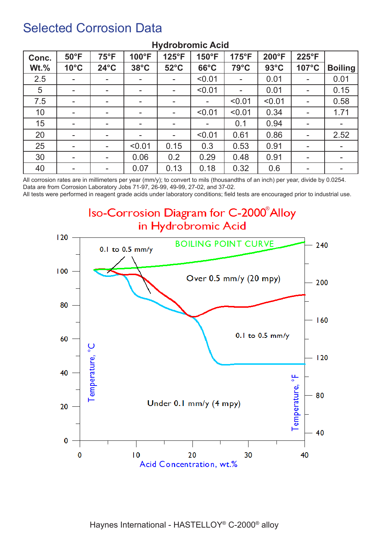#### Selected Corrosion Data

| Conc.   | $50^{\circ}$ F | $75^{\circ}F$            | 100°F                    | 125°F                    | 150°F                    | 175°F                    | 200°F          | 225°F                    |                |
|---------|----------------|--------------------------|--------------------------|--------------------------|--------------------------|--------------------------|----------------|--------------------------|----------------|
| $Wt.\%$ | $10^{\circ}$ C | $24^{\circ}$ C           | $38^{\circ}$ C           | $52^{\circ}$ C           | $66^{\circ}$ C           | $79^{\circ}$ C           | $93^{\circ}$ C | 107°C                    | <b>Boiling</b> |
| 2.5     | -              | $\overline{\phantom{a}}$ | ۰                        | -                        | < 0.01                   | $\blacksquare$           | 0.01           |                          | 0.01           |
| 5       | $\blacksquare$ | $\overline{\phantom{a}}$ | $\overline{\phantom{a}}$ | -                        | < 0.01                   | $\overline{\phantom{a}}$ | 0.01           | $\sim$                   | 0.15           |
| 7.5     | ۰              | $\overline{\phantom{a}}$ | ۰.                       | $\overline{\phantom{a}}$ |                          | < 0.01                   | < 0.01         | ۰.                       | 0.58           |
| 10      | -              | $\overline{\phantom{a}}$ | ۰.                       | -                        | < 0.01                   | < 0.01                   | 0.34           | $\overline{\phantom{a}}$ | 1.71           |
| 15      | -              | $\overline{\phantom{a}}$ | ۰.                       | ۰                        | $\overline{\phantom{a}}$ | 0.1                      | 0.94           | $\overline{\phantom{a}}$ |                |
| 20      | ۰              | $\overline{\phantom{a}}$ | ۰.                       | $\overline{\phantom{a}}$ | < 0.01                   | 0.61                     | 0.86           | ۰.                       | 2.52           |
| 25      | -              | $\sim$                   | < 0.01                   | 0.15                     | 0.3                      | 0.53                     | 0.91           | $\sim$                   | $\blacksquare$ |
| 30      | ۰              |                          | 0.06                     | 0.2                      | 0.29                     | 0.48                     | 0.91           | ۰.                       |                |
| 40      | $\blacksquare$ | $\overline{\phantom{a}}$ | 0.07                     | 0.13                     | 0.18                     | 0.32                     | 0.6            | ۰.                       |                |

#### **Hydrobromic Acid**

All corrosion rates are in millimeters per year (mm/y); to convert to mils (thousandths of an inch) per year, divide by 0.0254. Data are from Corrosion Laboratory Jobs 71-97, 26-99, 49-99, 27-02, and 37-02.

All tests were performed in reagent grade acids under laboratory conditions; field tests are encouraged prior to industrial use.

Iso-Corrosion Diagram for C-2000<sup>®</sup> Alloy in Hydrobromic Acid

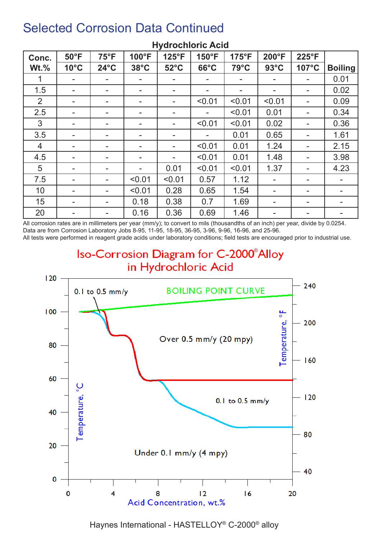| Conc.          | $50^{\circ}$ F | $75^{\circ}F$            | 100°F                    | 125°F          | 150°F                    | $175^{\circ}F$           | 200°F          | 225°F |                |
|----------------|----------------|--------------------------|--------------------------|----------------|--------------------------|--------------------------|----------------|-------|----------------|
| $Wt.\%$        | $10^{\circ}$ C | $24^{\circ}$ C           | $38^{\circ}$ C           | $52^{\circ}$ C | $66^{\circ}$ C           | $79^{\circ}$ C           | $93^{\circ}$ C | 107°C | <b>Boiling</b> |
|                |                |                          | $\overline{\phantom{a}}$ |                |                          | $\blacksquare$           |                |       | 0.01           |
| 1.5            | $\blacksquare$ | $\overline{\phantom{a}}$ | -                        |                | $\overline{\phantom{a}}$ | $\overline{\phantom{m}}$ |                | Ξ.    | 0.02           |
| 2              | ۰              |                          | ۰.                       |                | < 0.01                   | < 0.01                   | < 0.01         | Ξ.    | 0.09           |
| 2.5            | $\blacksquare$ | $\overline{\phantom{a}}$ | -                        |                | $\overline{\phantom{a}}$ | < 0.01                   | 0.01           | ۰     | 0.34           |
| 3              |                |                          | ۰                        |                | < 0.01                   | < 0.01                   | 0.02           |       | 0.36           |
| 3.5            | $\blacksquare$ |                          |                          |                |                          | 0.01                     | 0.65           |       | 1.61           |
| $\overline{4}$ |                |                          |                          |                | < 0.01                   | 0.01                     | 1.24           |       | 2.15           |
| 4.5            | $\blacksquare$ |                          |                          |                | < 0.01                   | 0.01                     | 1.48           |       | 3.98           |
| 5              | $\blacksquare$ |                          | ۰                        | 0.01           | < 0.01                   | < 0.01                   | 1.37           | ۰.    | 4.23           |
| 7.5            |                |                          | < 0.01                   | < 0.01         | 0.57                     | 1.12                     |                | Ξ.    |                |
| 10             | ۰.             |                          | < 0.01                   | 0.28           | 0.65                     | 1.54                     |                | ۰     |                |
| 15             | $\blacksquare$ |                          | 0.18                     | 0.38           | 0.7                      | 1.69                     | ۰.             | ۰.    |                |
| 20             | $\blacksquare$ |                          | 0.16                     | 0.36           | 0.69                     | 1.46                     |                | ۰     |                |

#### **Hydrochloric Acid**

All corrosion rates are in millimeters per year (mm/y); to convert to mils (thousandths of an inch) per year, divide by 0.0254. Data are from Corrosion Laboratory Jobs 8-95, 11-95, 18-95, 36-95, 3-96, 9-96, 16-96, and 25-96.

All tests were performed in reagent grade acids under laboratory conditions; field tests are encouraged prior to industrial use.

#### Iso-Corrosion Diagram for C-2000<sup>®</sup>Alloy in Hydrochloric Acid  $120$ 240 **BOILING POINT CURVE**  $0.1$  to  $0.5$  mm/y  $100$ <u>۳</u> Temperature, 200 Over  $0.5$  mm/y  $(20$  mpy) 80  $160$ 60 emperature,  $120$  $0.1$  to  $0.5$  mm/y 40 80 20 Under 0.1 mm/y (4 mpy) 40  $\bf{0}$  $\mathbf 0$ 4 8  $12$  $16$ 20 Acid Concentration, wt.%

Haynes International - HASTELLOY® C-2000® alloy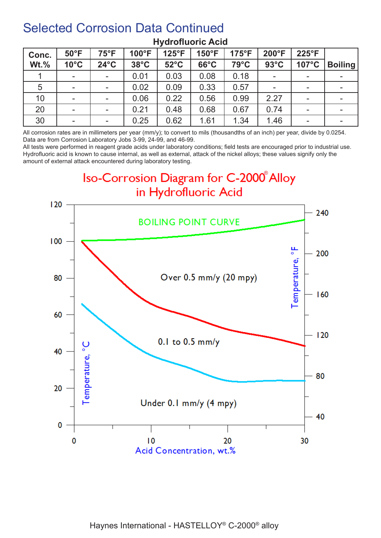| Conc.       | $50^{\circ}$ F           | $75^{\circ}F$            | 100°F          | 125°F          | $150^{\circ}F$ | $175^{\circ}F$ | 200°F          | $225^{\circ}F$           |                |
|-------------|--------------------------|--------------------------|----------------|----------------|----------------|----------------|----------------|--------------------------|----------------|
| <b>Wt.%</b> | $10^{\circ}$ C           | $24^{\circ}$ C           | $38^{\circ}$ C | $52^{\circ}$ C | $66^{\circ}$ C | $79^{\circ}$ C | $93^{\circ}$ C | 107°C                    | <b>Boiling</b> |
|             | $\overline{\phantom{a}}$ | $\sim$                   | 0.01           | 0.03           | 0.08           | 0.18           |                | ۰                        |                |
| 5           | $\blacksquare$           | $\sim$                   | 0.02           | 0.09           | 0.33           | 0.57           |                | $\overline{\phantom{a}}$ |                |
| 10          | $\blacksquare$           |                          | 0.06           | 0.22           | 0.56           | 0.99           | 2.27           | ۰.                       |                |
| 20          | $\blacksquare$           | $\overline{\phantom{a}}$ | 0.21           | 0.48           | 0.68           | 0.67           | 0.74           | $\overline{\phantom{a}}$ |                |
| 30          | $\overline{\phantom{a}}$ | $\sim$                   | 0.25           | 0.62           | 1.61           | 1.34           | 1.46           |                          |                |

#### **Hydrofluoric Acid**

All corrosion rates are in millimeters per year (mm/y); to convert to mils (thousandths of an inch) per year, divide by 0.0254. Data are from Corrosion Laboratory Jobs 3-99, 24-99, and 46-99.

All tests were performed in reagent grade acids under laboratory conditions; field tests are encouraged prior to industrial use. Hydrofluoric acid is known to cause internal, as well as external, attack of the nickel alloys; these values signify only the amount of external attack encountered during laboratory testing.



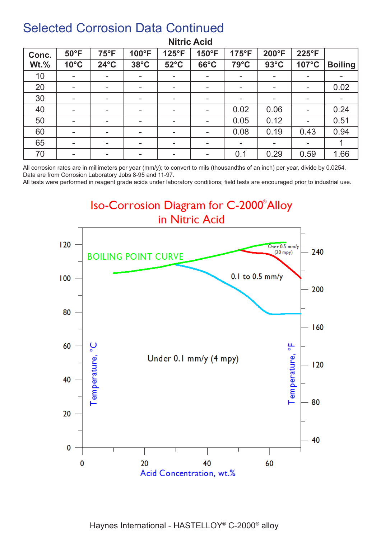| Conc.   | $50^{\circ}$ F           | $75^{\circ}F$            | 100°F                    | 125°F          | 150°F                    | 175°F                    | 200°F          | 225°F                    |                |
|---------|--------------------------|--------------------------|--------------------------|----------------|--------------------------|--------------------------|----------------|--------------------------|----------------|
| $Wt.\%$ | $10^{\circ}$ C           | $24^{\circ}$ C           | $38^{\circ}$ C           | $52^{\circ}$ C | $66^{\circ}$ C           | $79^{\circ}$ C           | $93^{\circ}$ C | 107°C                    | <b>Boiling</b> |
| 10      | $\blacksquare$           | $\overline{\phantom{a}}$ | $\overline{\phantom{a}}$ | $\blacksquare$ | $\overline{\phantom{a}}$ | $\overline{\phantom{a}}$ |                | $\overline{\phantom{a}}$ |                |
| 20      | $\overline{\phantom{a}}$ | $\,$                     |                          |                | $\overline{\phantom{a}}$ | $\blacksquare$           |                | $\overline{\phantom{a}}$ | 0.02           |
| 30      | $\blacksquare$           | $\overline{\phantom{a}}$ | $\overline{\phantom{a}}$ | $\,$           | ۰                        | $\blacksquare$           |                | $\overline{\phantom{a}}$ |                |
| 40      | $\blacksquare$           | $\,$                     | $\overline{\phantom{a}}$ | $\,$           | ۰                        | 0.02                     | 0.06           | $\overline{\phantom{a}}$ | 0.24           |
| 50      | $\overline{\phantom{a}}$ | $\,$                     | $\overline{\phantom{a}}$ |                | $\overline{\phantom{a}}$ | 0.05                     | 0.12           | ۰.                       | 0.51           |
| 60      | $\blacksquare$           | $\overline{\phantom{a}}$ |                          |                |                          | 0.08                     | 0.19           | 0.43                     | 0.94           |
| 65      | $\blacksquare$           | $\overline{\phantom{a}}$ |                          |                | $\overline{\phantom{a}}$ | $\blacksquare$           |                | $\overline{\phantom{a}}$ |                |
| 70      | $\overline{\phantom{a}}$ | $\overline{\phantom{a}}$ | $\overline{\phantom{a}}$ | $\,$           | ۰                        | 0.1                      | 0.29           | 0.59                     | 1.66           |

#### **Nitric Acid**

All corrosion rates are in millimeters per year (mm/y); to convert to mils (thousandths of an inch) per year, divide by 0.0254. Data are from Corrosion Laboratory Jobs 8-95 and 11-97.

All tests were performed in reagent grade acids under laboratory conditions; field tests are encouraged prior to industrial use.

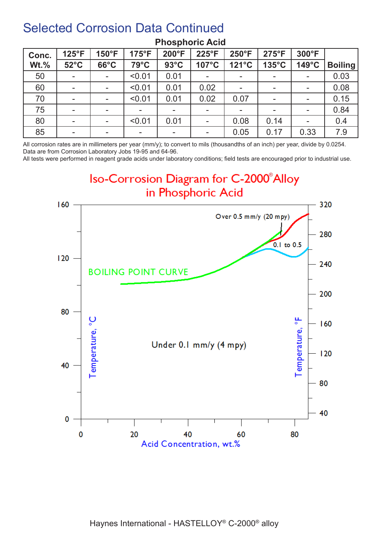| Conc.   | $125^{\circ}F$           | $150^{\circ}F$           | $175^{\circ}F$ | 200°F          | $225^{\circ}F$ | 250°F                    | $275^{\circ}F$  | 300°F                    |                |
|---------|--------------------------|--------------------------|----------------|----------------|----------------|--------------------------|-----------------|--------------------------|----------------|
| $Wt.\%$ | $52^{\circ}$ C           | $66^{\circ}$ C           | $79^{\circ}$ C | $93^{\circ}$ C | 107°C          | 121°C                    | $135^{\circ}$ C | 149°C                    | <b>Boiling</b> |
| 50      | $\blacksquare$           | $\sim$                   | < 0.01         | 0.01           |                | $\overline{\phantom{a}}$ |                 | н.                       | 0.03           |
| 60      | $\blacksquare$           | $\sim$                   | < 0.01         | 0.01           | 0.02           | $\blacksquare$           |                 | $\overline{\phantom{a}}$ | 0.08           |
| 70      | $\blacksquare$           | $\sim$                   | < 0.01         | 0.01           | 0.02           | 0.07                     |                 | н.                       | 0.15           |
| 75      | $\overline{\phantom{a}}$ |                          | -              |                | -              | $\blacksquare$           |                 | $\overline{\phantom{a}}$ | 0.84           |
| 80      | $\blacksquare$           | $\sim$                   | < 0.01         | 0.01           |                | 0.08                     | 0.14            | $\blacksquare$           | 0.4            |
| 85      | $\,$                     | $\overline{\phantom{a}}$ | ۰.             |                |                | 0.05                     | 0.17            | 0.33                     | 7.9            |

#### **Phosphoric Acid**

All corrosion rates are in millimeters per year (mm/y); to convert to mils (thousandths of an inch) per year, divide by 0.0254. Data are from Corrosion Laboratory Jobs 19-95 and 64-96.

All tests were performed in reagent grade acids under laboratory conditions; field tests are encouraged prior to industrial use.

Iso-Corrosion Diagram for C-2000<sup>®</sup>Alloy in Phosphoric Acid

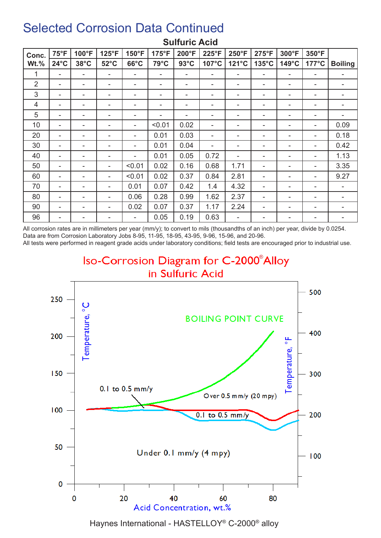| Conc.          | $75^{\circ}F$  | 100°F          | $125^{\circ}F$           | 150°F          | 175°F  | 200°F          | 225°F                    | 250°F | $275^{\circ}F$ | 300°F | 350°F           |                |
|----------------|----------------|----------------|--------------------------|----------------|--------|----------------|--------------------------|-------|----------------|-------|-----------------|----------------|
| $Wt.\%$        | $24^{\circ}$ C | $38^{\circ}$ C | $52^{\circ}$ C           | $66^{\circ}$ C | 79°C   | $93^{\circ}$ C | 107°C                    | 121°C | 135°C          | 149°C | $177^{\circ}$ C | <b>Boiling</b> |
|                | ۰              |                | ۰                        | ۰              |        | ۰              | ۰                        | ۰     |                | ۰     | ۰               | ۰              |
| $\overline{2}$ | ۰              |                | $\overline{\phantom{a}}$ | ۰              | ٠      | ۰              | ۰                        |       |                | ۰     | ۰               | ۰              |
| 3              | ۰              |                | ۰                        | ۰              |        | ۰              | -                        | -     |                | ۰     | ۰               | ۰              |
| $\overline{4}$ | -              |                | -                        | ۰              |        | ۰              | ۰                        |       |                |       | ۰               |                |
| 5              | ۰              |                | ۰                        | ۰              |        |                | $\overline{\phantom{a}}$ | ۰     |                | ۰     | ۰               | ۰              |
| 10             | ۰              |                | ۰                        | ۰              | < 0.01 | 0.02           | $\overline{\phantom{a}}$ | ۰     |                | ۰     | ۰               | 0.09           |
| 20             | ۰              |                | ۰                        | ۰              | 0.01   | 0.03           | ۰                        | -     |                | ۰     | ۰               | 0.18           |
| 30             | ۰              |                | ۰                        | ۰              | 0.01   | 0.04           |                          |       |                | ۰     |                 | 0.42           |
| 40             | ۰              |                | $\overline{\phantom{a}}$ | ۰              | 0.01   | 0.05           | 0.72                     | ۰     |                | ۰     | ۰               | 1.13           |
| 50             | ۰              |                | ۰                        | < 0.01         | 0.02   | 0.16           | 0.68                     | 1.71  |                | ۰     | ۰               | 3.35           |
| 60             | ۰              |                | ۰                        | < 0.01         | 0.02   | 0.37           | 0.84                     | 2.81  |                | ۰     | $\sim$          | 9.27           |
| 70             | ۰              |                | $\overline{\phantom{a}}$ | 0.01           | 0.07   | 0.42           | 1.4                      | 4.32  |                | ۰     | ۰               | ۰              |
| 80             | ۰              |                | $\overline{\phantom{a}}$ | 0.06           | 0.28   | 0.99           | 1.62                     | 2.37  | ۰              | ۰     | ۰               | ۰              |
| 90             | ۰              |                | ۰                        | 0.02           | 0.07   | 0.37           | 1.17                     | 2.24  |                | ۰     | ۰               | ۰              |
| 96             | ۰              |                | ۰                        | ۰              | 0.05   | 0.19           | 0.63                     |       |                | ۰     | ۰               | ۰              |

#### **Sulfuric Acid**

All corrosion rates are in millimeters per year (mm/y); to convert to mils (thousandths of an inch) per year, divide by 0.0254. Data are from Corrosion Laboratory Jobs 8-95, 11-95, 18-95, 43-95, 9-96, 15-96, and 20-96.

All tests were performed in reagent grade acids under laboratory conditions; field tests are encouraged prior to industrial use.

#### Iso-Corrosion Diagram for C-2000<sup>®</sup>Alloy in Sulfuric Acid



Haynes International - HASTELLOY® C-2000® alloy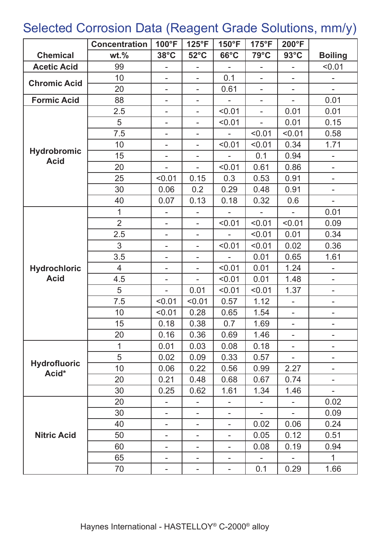### Selected Corrosion Data (Reagent Grade Solutions, mm/y)

|                                   | <b>Concentration</b> | 100°F                    | 125°F                    | 150°F                    | $175^{\circ}F$           | 200°F                    |                          |
|-----------------------------------|----------------------|--------------------------|--------------------------|--------------------------|--------------------------|--------------------------|--------------------------|
| <b>Chemical</b>                   | $wt. \%$             | $38^{\circ}$ C           | $52^{\circ}$ C           | $66^{\circ}$ C           | 79°C                     | $93^{\circ}$ C           | <b>Boiling</b>           |
| <b>Acetic Acid</b>                | 99                   |                          |                          |                          |                          | $\overline{a}$           | < 0.01                   |
| <b>Chromic Acid</b>               | 10                   | -                        | $\overline{\phantom{0}}$ | 0.1                      | $\overline{a}$           |                          |                          |
|                                   | 20                   | $\overline{a}$           | $\overline{a}$           | 0.61                     | $\sim$                   | $\overline{\phantom{a}}$ | $\sim$                   |
| <b>Formic Acid</b>                | 88                   | ۰                        | $\overline{\phantom{a}}$ | $\overline{\phantom{0}}$ | $\blacksquare$           | $\blacksquare$           | 0.01                     |
|                                   | 2.5                  | ۰                        | $\bar{ }$                | < 0.01                   | $\overline{\phantom{0}}$ | 0.01                     | 0.01                     |
|                                   | 5                    | ۰                        | $\overline{\phantom{0}}$ | < 0.01                   | ÷,                       | 0.01                     | 0.15                     |
|                                   | 7.5                  | ۰                        | ۰                        |                          | < 0.01                   | < 0.01                   | 0.58                     |
|                                   | 10                   |                          | -                        | < 0.01                   | < 0.01                   | 0.34                     | 1.71                     |
| <b>Hydrobromic</b><br><b>Acid</b> | 15                   | ۰                        | $\overline{\phantom{0}}$ |                          | 0.1                      | 0.94                     |                          |
|                                   | 20                   |                          |                          | < 0.01                   | 0.61                     | 0.86                     | $\overline{\phantom{0}}$ |
|                                   | 25                   | < 0.01                   | 0.15                     | 0.3                      | 0.53                     | 0.91                     | $\overline{\phantom{a}}$ |
|                                   | 30                   | 0.06                     | 0.2                      | 0.29                     | 0.48                     | 0.91                     | $\blacksquare$           |
|                                   | 40                   | 0.07                     | 0.13                     | 0.18                     | 0.32                     | 0.6                      | $\overline{\phantom{0}}$ |
|                                   | 1                    | $\overline{\phantom{0}}$ | -                        |                          |                          | L,                       | 0.01                     |
|                                   | $\overline{2}$       | -                        | $\blacksquare$           | < 0.01                   | < 0.01                   | < 0.01                   | 0.09                     |
|                                   | 2.5                  | $\overline{\phantom{0}}$ | $\overline{a}$           | $\overline{\phantom{0}}$ | < 0.01                   | 0.01                     | 0.34                     |
|                                   | 3                    | -                        | $\overline{\phantom{0}}$ | < 0.01                   | < 0.01                   | 0.02                     | 0.36                     |
|                                   | 3.5                  | ۰                        | $\overline{\phantom{a}}$ |                          | 0.01                     | 0.65                     | 1.61                     |
| <b>Hydrochloric</b>               | $\overline{4}$       | ۰                        | $\overline{\phantom{0}}$ | < 0.01                   | 0.01                     | 1.24                     | $\overline{\phantom{0}}$ |
| <b>Acid</b>                       | 4.5                  | ۰                        |                          | < 0.01                   | 0.01                     | 1.48                     | $\overline{\phantom{a}}$ |
|                                   | 5                    |                          | 0.01                     | < 0.01                   | < 0.01                   | 1.37                     | $\blacksquare$           |
|                                   | 7.5                  | < 0.01                   | < 0.01                   | 0.57                     | 1.12                     |                          | ۰                        |
|                                   | 10                   | < 0.01                   | 0.28                     | 0.65                     | 1.54                     | $\overline{\phantom{0}}$ | $\overline{\phantom{0}}$ |
|                                   | 15                   | 0.18                     | 0.38                     | 0.7                      | 1.69                     |                          |                          |
|                                   | 20                   | 0.16                     | 0.36                     | 0.69                     | 1.46                     | $\overline{\phantom{0}}$ |                          |
|                                   | 1                    | 0.01                     | 0.03                     | 0.08                     | 0.18                     |                          | -                        |
|                                   | 5                    | 0.02                     | 0.09                     | 0.33                     | 0.57                     | $\overline{\phantom{0}}$ | Ξ.                       |
| <b>Hydrofluoric</b><br>Acid*      | 10                   | 0.06                     | 0.22                     | 0.56                     | 0.99                     | 2.27                     | $\overline{\phantom{a}}$ |
|                                   | 20                   | 0.21                     | 0.48                     | 0.68                     | 0.67                     | 0.74                     | ۰                        |
|                                   | 30                   | 0.25                     | 0.62                     | 1.61                     | 1.34                     | 1.46                     |                          |
|                                   | 20                   |                          |                          |                          |                          | -                        | 0.02                     |
|                                   | 30                   |                          |                          |                          |                          |                          | 0.09                     |
|                                   | 40                   |                          |                          |                          | 0.02                     | 0.06                     | 0.24                     |
| <b>Nitric Acid</b>                | 50                   | ۰                        |                          | ۰                        | 0.05                     | 0.12                     | 0.51                     |
|                                   | 60                   |                          |                          |                          | 0.08                     | 0.19                     | 0.94                     |
|                                   | 65                   |                          |                          |                          |                          |                          | $\mathbf{1}$             |
|                                   | 70                   | -                        |                          | ۰                        | 0.1                      | 0.29                     | 1.66                     |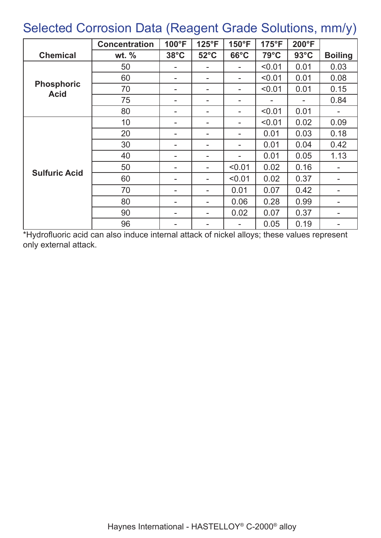#### Selected Corrosion Data (Reagent Grade Solutions, mm/y)

|                                  | <b>Concentration</b> | 100°F          | $125^{\circ}F$ | 150°F          | $175^{\circ}F$ | 200°F          |                          |
|----------------------------------|----------------------|----------------|----------------|----------------|----------------|----------------|--------------------------|
| <b>Chemical</b>                  | wt. $%$              | $38^{\circ}$ C | $52^{\circ}$ C | $66^{\circ}$ C | $79^{\circ}$ C | $93^{\circ}$ C | <b>Boiling</b>           |
|                                  | 50                   |                |                | -              | < 0.01         | 0.01           | 0.03                     |
|                                  | 60                   |                | ۰              | ۰.             | < 0.01         | 0.01           | 0.08                     |
| <b>Phosphoric</b><br><b>Acid</b> | 70                   |                | ۰              | ۰              | < 0.01         | 0.01           | 0.15                     |
|                                  | 75                   |                | ۰              | -              |                |                | 0.84                     |
|                                  | 80                   |                | ۰              | ۰              | < 0.01         | 0.01           |                          |
|                                  | 10                   |                | ۰              | -              | < 0.01         | 0.02           | 0.09                     |
|                                  | 20                   |                | $\blacksquare$ |                | 0.01           | 0.03           | 0.18                     |
|                                  | 30                   |                | ۰              |                | 0.01           | 0.04           | 0.42                     |
|                                  | 40                   |                | ۰.             |                | 0.01           | 0.05           | 1.13                     |
|                                  | 50                   |                | $\blacksquare$ | < 0.01         | 0.02           | 0.16           |                          |
| <b>Sulfuric Acid</b>             | 60                   |                |                | < 0.01         | 0.02           | 0.37           |                          |
|                                  | 70                   |                |                | 0.01           | 0.07           | 0.42           |                          |
|                                  | 80                   |                | $\blacksquare$ | 0.06           | 0.28           | 0.99           | $\overline{\phantom{a}}$ |
|                                  | 90                   |                | ۰              | 0.02           | 0.07           | 0.37           | $\overline{\phantom{a}}$ |
|                                  | 96                   |                | ۰              | -              | 0.05           | 0.19           | $\overline{\phantom{a}}$ |

\*Hydrofluoric acid can also induce internal attack of nickel alloys; these values represent only external attack.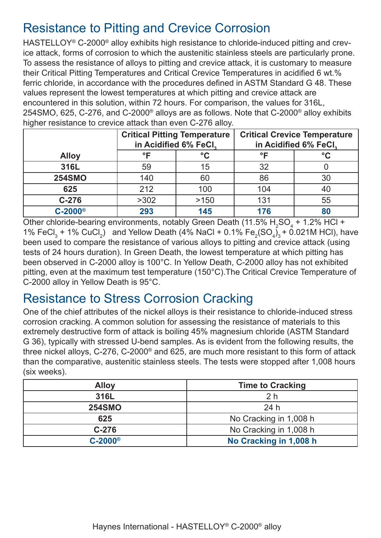#### Resistance to Pitting and Crevice Corrosion

HASTELLOY<sup>®</sup> C-2000<sup>®</sup> alloy exhibits high resistance to chloride-induced pitting and crevice attack, forms of corrosion to which the austenitic stainless steels are particularly prone. To assess the resistance of alloys to pitting and crevice attack, it is customary to measure their Critical Pitting Temperatures and Critical Crevice Temperatures in acidified 6 wt.% ferric chloride, in accordance with the procedures defined in ASTM Standard G 48. These values represent the lowest temperatures at which pitting and crevice attack are encountered in this solution, within 72 hours. For comparison, the values for 316L, 254SMO, 625, C-276, and C-2000® alloys are as follows. Note that C-2000® alloy exhibits higher resistance to crevice attack than even C-276 alloy.

|                       | in Acidified 6% FeCl, | <b>Critical Pitting Temperature</b> | <b>Critical Crevice Temperature</b><br>in Acidified 6% FeCl, |              |  |
|-----------------------|-----------------------|-------------------------------------|--------------------------------------------------------------|--------------|--|
| <b>Alloy</b>          | °F                    | $\rm ^{\circ}C$                     | °F                                                           | $^{\circ}$ C |  |
| 316L                  | 59                    | 15                                  | 32                                                           |              |  |
| <b>254SMO</b>         | 140                   | 60                                  | 86                                                           | 30           |  |
| 625                   | 212                   | 100                                 | 104                                                          | 40           |  |
| $C-276$               | >302                  | >150                                | 131                                                          | 55           |  |
| $C-2000$ <sup>®</sup> | 293                   | 145                                 | 176                                                          |              |  |

Other chloride-bearing environments, notably Green Death (11.5%  $\rm H_2SO_4$  + 1.2% HCl + 1% FeCl<sub>3</sub> + 1% CuCl<sub>2</sub>) and Yellow Death (4% NaCl + 0.1% Fe<sub>2</sub>(SO<sub>4</sub>)<sub>3</sub> + 0.021M HCl), have been used to compare the resistance of various alloys to pitting and crevice attack (using tests of 24 hours duration). In Green Death, the lowest temperature at which pitting has been observed in C-2000 alloy is 100°C. In Yellow Death, C-2000 alloy has not exhibited pitting, even at the maximum test temperature (150°C).The Critical Crevice Temperature of C-2000 alloy in Yellow Death is 95°C.

#### Resistance to Stress Corrosion Cracking

One of the chief attributes of the nickel alloys is their resistance to chloride-induced stress corrosion cracking. A common solution for assessing the resistance of materials to this extremely destructive form of attack is boiling 45% magnesium chloride (ASTM Standard G 36), typically with stressed U-bend samples. As is evident from the following results, the three nickel alloys, C-276, C-2000® and 625, are much more resistant to this form of attack than the comparative, austenitic stainless steels. The tests were stopped after 1,008 hours (six weeks).

| <b>Alloy</b>          | <b>Time to Cracking</b> |
|-----------------------|-------------------------|
| 316L                  | 2 <sub>h</sub>          |
| <b>254SMO</b>         | 24h                     |
| 625                   | No Cracking in 1,008 h  |
| $C-276$               | No Cracking in 1,008 h  |
| $C-2000$ <sup>®</sup> | No Cracking in 1,008 h  |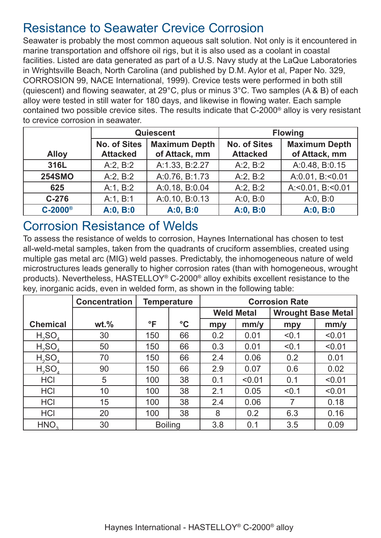#### Resistance to Seawater Crevice Corrosion

Seawater is probably the most common aqueous salt solution. Not only is it encountered in marine transportation and offshore oil rigs, but it is also used as a coolant in coastal facilities. Listed are data generated as part of a U.S. Navy study at the LaQue Laboratories in Wrightsville Beach, North Carolina (and published by D.M. Aylor et al, Paper No. 329, CORROSION 99, NACE International, 1999). Crevice tests were performed in both still (quiescent) and flowing seawater, at 29°C, plus or minus 3°C. Two samples (A & B) of each alloy were tested in still water for 180 days, and likewise in flowing water. Each sample contained two possible crevice sites. The results indicate that C-2000® alloy is very resistant to crevice corrosion in seawater.

|                |                     | Quiescent            | <b>Flowing</b>      |                           |  |
|----------------|---------------------|----------------------|---------------------|---------------------------|--|
|                | <b>No. of Sites</b> | <b>Maximum Depth</b> | <b>No. of Sites</b> | <b>Maximum Depth</b>      |  |
| <b>Alloy</b>   | <b>Attacked</b>     | of Attack, mm        | <b>Attacked</b>     | of Attack, mm             |  |
| 316L           | A:2, B:2            | A:1.33, B:2.27       | A:2, B:2            | A:0.48, B:0.15            |  |
| <b>254SMO</b>  | A:2, B:2            | A:0.76, B:1.73       | A:2, B:2            | A:0.01, B:<0.01           |  |
| 625            | A:1, B:2            | A:0.18, B:0.04       | A:2, B:2            | A: < $0.01$ , B: < $0.01$ |  |
| $C-276$        | A:1, B:1            | A:0.10, B:0.13       | A:0, B:0            | A:0, B:0                  |  |
| $C-2000^\circ$ | A:0, B:0            | A:0, B:0             | A:0, B:0            | A:0, B:0                  |  |

Corrosion Resistance of Welds

To assess the resistance of welds to corrosion, Haynes International has chosen to test all-weld-metal samples, taken from the quadrants of cruciform assemblies, created using multiple gas metal arc (MIG) weld passes. Predictably, the inhomogeneous nature of weld microstructures leads generally to higher corrosion rates (than with homogeneous, wrought products). Nevertheless, HASTELLOY® C-2000® alloy exhibits excellent resistance to the key, inorganic acids, even in welded form, as shown in the following table:

|                                | <b>Concentration</b> | <b>Temperature</b> |                 | <b>Corrosion Rate</b> |                   |       |                           |  |
|--------------------------------|----------------------|--------------------|-----------------|-----------------------|-------------------|-------|---------------------------|--|
|                                |                      |                    |                 |                       | <b>Weld Metal</b> |       | <b>Wrought Base Metal</b> |  |
| <b>Chemical</b>                | $wt.$ %              | $\mathsf{P}$       | $\rm ^{\circ}C$ | mpy                   | mm/y              | mpy   | mm/y                      |  |
| H <sub>2</sub> SO <sub>4</sub> | 30                   | 150                | 66              | 0.2                   | 0.01              | < 0.1 | < 0.01                    |  |
| H <sub>2</sub> SO <sub>4</sub> | 50                   | 150                | 66              | 0.3                   | 0.01              | < 0.1 | < 0.01                    |  |
| H <sub>2</sub> SO <sub>4</sub> | 70                   | 150                | 66              | 2.4                   | 0.06              | 0.2   | 0.01                      |  |
| H <sub>2</sub> SO <sub>4</sub> | 90                   | 150                | 66              | 2.9                   | 0.07              | 0.6   | 0.02                      |  |
| <b>HCI</b>                     | 5                    | 100                | 38              | 0.1                   | < 0.01            | 0.1   | < 0.01                    |  |
| <b>HCI</b>                     | 10                   | 100                | 38              | 2.1                   | 0.05              | < 0.1 | < 0.01                    |  |
| <b>HCI</b>                     | 15                   | 100                | 38              | 2.4                   | 0.06              | 7     | 0.18                      |  |
| <b>HCI</b>                     | 20                   | 100                | 38              | 8                     | 0.2               | 6.3   | 0.16                      |  |
| HNO <sub>2</sub>               | 30                   | <b>Boiling</b>     |                 | 3.8                   | 0.1               | 3.5   | 0.09                      |  |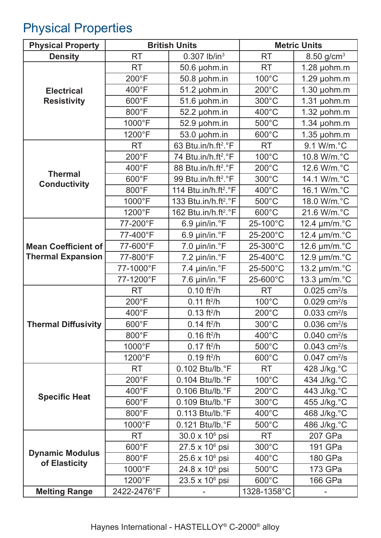## Physical Properties

| <b>Physical Property</b>                | <b>British Units</b> |                                  | <b>Metric Units</b> |                            |  |
|-----------------------------------------|----------------------|----------------------------------|---------------------|----------------------------|--|
| <b>Density</b>                          | <b>RT</b>            | $0.307$ lb/in <sup>3</sup>       | <b>RT</b>           | 8.50 $g/cm^{3}$            |  |
|                                         | <b>RT</b>            | 50.6 µohm.in                     | <b>RT</b>           | $1.28$ µohm.m              |  |
|                                         | 200°F                | 50.8 µohm.in                     | 100°C               | $1.29$ µohm.m              |  |
| <b>Electrical</b>                       | 400°F                | 51.2 µohm.in                     | $200^{\circ}$ C     | $1.30$ µohm.m              |  |
| <b>Resistivity</b>                      | 600°F                | 51.6 µohm.in                     | 300°C               | $1.31$ µohm.m              |  |
|                                         | 800°F                | 52.2 µohm.in                     | 400°C               | $1.32$ µohm.m              |  |
|                                         | 1000°F               | 52.9 µohm.in                     | 500°C               | $1.34$ µohm.m              |  |
|                                         | 1200°F               | 53.0 µohm.in                     | 600°C               | $1.35$ µohm.m              |  |
|                                         | <b>RT</b>            | 63 Btu.in/h.ft <sup>2</sup> .°F  | <b>RT</b>           | 9.1 W/m.°C                 |  |
|                                         | 200°F                | 74 Btu.in/h.ft <sup>2</sup> .°F  | 100°C               | 10.8 W/m.°C                |  |
|                                         | 400°F                | 88 Btu.in/h.ft <sup>2</sup> .°F  | $200^{\circ}$ C     | 12.6 W/m.°C                |  |
| <b>Thermal</b><br><b>Conductivity</b>   | 600°F                | 99 Btu.in/h.ft <sup>2</sup> .°F  | 300°C               | 14.1 W/m.°C                |  |
|                                         | 800°F                | 114 Btu.in/h.ft <sup>2</sup> .°F | 400°C               | 16.1 W/m.°C                |  |
|                                         | 1000°F               | 133 Btu.in/h.ft <sup>2</sup> .°F | 500°C               | 18.0 W/m.°C                |  |
|                                         | 1200°F               | 162 Btu.in/h.ft <sup>2</sup> .°F | 600°C               | 21.6 W/m.°C                |  |
|                                         | 77-200°F             | 6.9 µin/in.°F                    | 25-100°C            | 12.4 µm/m.°C               |  |
|                                         | 77-400°F             | 6.9 µin/in.°F                    | 25-200°C            | 12.4 µm/m.°C               |  |
| <b>Mean Coefficient of</b>              | 77-600°F             | 7.0 µin/in.°F                    | 25-300°C            | 12.6 µm/m.°C               |  |
| <b>Thermal Expansion</b>                | 77-800°F             | 7.2 µin/in.°F                    | 25-400°C            | 12.9 µm/m.°C               |  |
|                                         | 77-1000°F            | 7.4 µin/in.°F                    | 25-500°C            | 13.2 µm/m.°C               |  |
|                                         | 77-1200°F            | $7.6 \mu$ in/in. $\degree$ F     | 25-600°C            | 13.3 µm/m.°C               |  |
|                                         | <b>RT</b>            | $0.10$ ft <sup>2</sup> /h        | <b>RT</b>           | $0.025$ cm <sup>2</sup> /s |  |
|                                         | $200^{\circ}$ F      | $0.11$ ft <sup>2</sup> /h        | 100°C               | $0.029$ cm <sup>2</sup> /s |  |
|                                         | 400°F                | $0.13$ ft <sup>2</sup> /h        | $200^{\circ}$ C     | $0.033$ cm <sup>2</sup> /s |  |
| <b>Thermal Diffusivity</b>              | 600°F                | $0.14$ ft <sup>2</sup> /h        | 300°C               | $0.036$ cm <sup>2</sup> /s |  |
|                                         | 800°F                | $0.16$ ft <sup>2</sup> /h        | $400^{\circ}$ C     | $0.040$ cm <sup>2</sup> /s |  |
|                                         | 1000°F               | $0.17$ ft <sup>2</sup> /h        | 500°C               | $0.043$ cm <sup>2</sup> /s |  |
|                                         | 1200°F               | $0.19$ ft <sup>2</sup> /h        | 600°C               | $0.047$ cm <sup>2</sup> /s |  |
|                                         | <b>RT</b>            | 0.102 Btu/lb.°F                  | <b>RT</b>           | 428 J/kg.°C                |  |
|                                         | 200°F                | 0.104 Btu/lb.°F                  | 100°C               | 434 J/kg.°C                |  |
| <b>Specific Heat</b>                    | $400^{\circ}$ F      | 0.106 Btu/lb.°F                  | $200^{\circ}$ C     | 443 J/kg.°C                |  |
|                                         | 600°F                | 0.109 Btu/lb.°F                  | 300°C               | 455 J/kg.°C                |  |
|                                         | 800°F                | $0.113$ Btu/lb. $\degree$ F      | 400°C               | 468 J/kg.°C                |  |
|                                         | 1000°F               | 0.121 Btu/lb.°F                  | 500°C               | 486 J/kg. °C               |  |
|                                         | <b>RT</b>            | $30.0 \times 10^6$ psi           | <b>RT</b>           | 207 GPa                    |  |
|                                         | 600°F                | $27.5 \times 10^6$ psi           | $300^{\circ}$ C     | 191 GPa                    |  |
| <b>Dynamic Modulus</b><br>of Elasticity | 800°F                | $25.6 \times 10^6$ psi           | 400°C               | 180 GPa                    |  |
|                                         | 1000°F               | 24.8 x 10 <sup>6</sup> psi       | 500°C               | 173 GPa                    |  |
|                                         | 1200°F               | $23.5 \times 10^6$ psi           | 600°C               | 166 GPa                    |  |
| <b>Melting Range</b>                    | 2422-2476°F          |                                  | 1328-1358°C         |                            |  |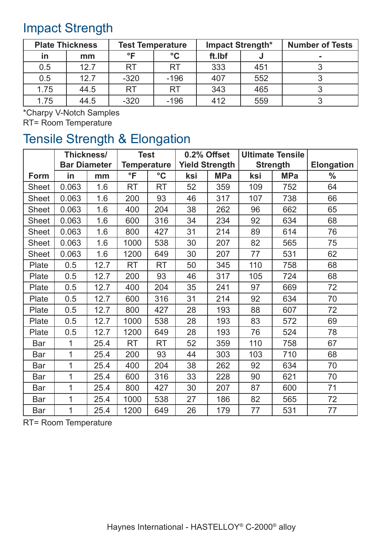### Impact Strength

| <b>Plate Thickness</b> |      | <b>Test Temperature</b> |                 | <b>Impact Strength*</b> |     | <b>Number of Tests</b> |
|------------------------|------|-------------------------|-----------------|-------------------------|-----|------------------------|
| in                     | mm   | $^{\circ}$ F            | $\rm ^{\circ}C$ | ft.Ibf                  |     |                        |
| 0.5                    | 12.7 | <b>RT</b>               | <b>RT</b>       | 333                     | 451 |                        |
| 0.5                    | 12.7 | $-320$                  | $-196$          | 407                     | 552 |                        |
| 1.75                   | 44.5 | <b>RT</b>               | <b>RT</b>       | 343                     | 465 |                        |
| 1.75                   | 44.5 | $-320$                  | $-196$          | 412                     | 559 |                        |

\*Charpy V-Notch Samples

RT= Room Temperature

### Tensile Strength & Elongation

|              | Thickness/<br><b>Bar Diameter</b> |      | <b>Test</b><br><b>Temperature</b> |                 | 0.2% Offset<br><b>Yield Strength</b> |            | <b>Ultimate Tensile</b><br><b>Strength</b> |            | <b>Elongation</b> |
|--------------|-----------------------------------|------|-----------------------------------|-----------------|--------------------------------------|------------|--------------------------------------------|------------|-------------------|
|              |                                   |      |                                   |                 |                                      |            |                                            |            |                   |
| Form         | in                                | mm   | $\overline{\ }$                   | $\rm ^{\circ}C$ | ksi                                  | <b>MPa</b> | ksi                                        | <b>MPa</b> | $\frac{0}{0}$     |
| <b>Sheet</b> | 0.063                             | 1.6  | <b>RT</b>                         | <b>RT</b>       | 52                                   | 359        | 109                                        | 752        | 64                |
| <b>Sheet</b> | 0.063                             | 1.6  | 200                               | 93              | 46                                   | 317        | 107                                        | 738        | 66                |
| Sheet        | 0.063                             | 1.6  | 400                               | 204             | 38                                   | 262        | 96                                         | 662        | 65                |
| <b>Sheet</b> | 0.063                             | 1.6  | 600                               | 316             | 34                                   | 234        | 92                                         | 634        | 68                |
| Sheet        | 0.063                             | 1.6  | 800                               | 427             | 31                                   | 214        | 89                                         | 614        | 76                |
| <b>Sheet</b> | 0.063                             | 1.6  | 1000                              | 538             | 30                                   | 207        | 82                                         | 565        | 75                |
| Sheet        | 0.063                             | 1.6  | 1200                              | 649             | 30                                   | 207        | 77                                         | 531        | 62                |
| Plate        | 0.5                               | 12.7 | <b>RT</b>                         | <b>RT</b>       | 50                                   | 345        | 110                                        | 758        | 68                |
| Plate        | 0.5                               | 12.7 | 200                               | 93              | 46                                   | 317        | 105                                        | 724        | 68                |
| Plate        | 0.5                               | 12.7 | 400                               | 204             | 35                                   | 241        | 97                                         | 669        | 72                |
| Plate        | 0.5                               | 12.7 | 600                               | 316             | 31                                   | 214        | 92                                         | 634        | 70                |
| Plate        | 0.5                               | 12.7 | 800                               | 427             | 28                                   | 193        | 88                                         | 607        | 72                |
| Plate        | 0.5                               | 12.7 | 1000                              | 538             | 28                                   | 193        | 83                                         | 572        | 69                |
| Plate        | 0.5                               | 12.7 | 1200                              | 649             | 28                                   | 193        | 76                                         | 524        | 78                |
| <b>Bar</b>   | 1                                 | 25.4 | <b>RT</b>                         | <b>RT</b>       | 52                                   | 359        | 110                                        | 758        | 67                |
| Bar          | 1                                 | 25.4 | 200                               | 93              | 44                                   | 303        | 103                                        | 710        | 68                |
| Bar          | 1                                 | 25.4 | 400                               | 204             | 38                                   | 262        | 92                                         | 634        | 70                |
| Bar          | 1                                 | 25.4 | 600                               | 316             | 33                                   | 228        | 90                                         | 621        | 70                |
| Bar          | $\mathbf 1$                       | 25.4 | 800                               | 427             | 30                                   | 207        | 87                                         | 600        | 71                |
| <b>Bar</b>   | $\mathbf 1$                       | 25.4 | 1000                              | 538             | 27                                   | 186        | 82                                         | 565        | 72                |
| Bar          | 1                                 | 25.4 | 1200                              | 649             | 26                                   | 179        | 77                                         | 531        | 77                |

RT= Room Temperature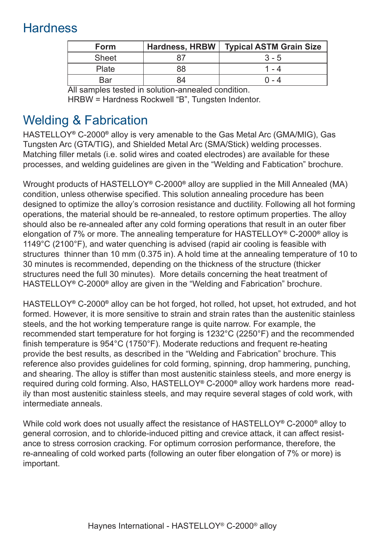### **Hardness**

| <b>Form</b>  | Hardness, HRBW | Typical ASTM Grain Size |
|--------------|----------------|-------------------------|
| <b>Sheet</b> |                | $3 - 5$                 |
| Plate        | 88             |                         |
| Bar          |                | በ - 4                   |

All samples tested in solution-annealed condition. HRBW = Hardness Rockwell "B", Tungsten Indentor.

### Welding & Fabrication

HASTELLOY**®** C-2000**®** alloy is very amenable to the Gas Metal Arc (GMA/MIG), Gas Tungsten Arc (GTA/TIG), and Shielded Metal Arc (SMA/Stick) welding processes. Matching filler metals (i.e. solid wires and coated electrodes) are available for these processes, and welding guidelines are given in the "Welding and Fabtication" brochure.

Wrought products of HASTELLOY**®** C-2000**®** alloy are supplied in the Mill Annealed (MA) condition, unless otherwise specified. This solution annealing procedure has been designed to optimize the alloy's corrosion resistance and ductility. Following all hot forming operations, the material should be re-annealed, to restore optimum properties. The alloy should also be re-annealed after any cold forming operations that result in an outer fiber elongation of 7% or more. The annealing temperature for HASTELLOY**®** C-2000**®** alloy is 1149°C (2100°F), and water quenching is advised (rapid air cooling is feasible with structures thinner than 10 mm (0.375 in). A hold time at the annealing temperature of 10 to 30 minutes is recommended, depending on the thickness of the structure (thicker structures need the full 30 minutes). More details concerning the heat treatment of HASTELLOY**®** C-2000**®** alloy are given in the "Welding and Fabrication" brochure.

HASTELLOY**®** C-2000**®** alloy can be hot forged, hot rolled, hot upset, hot extruded, and hot formed. However, it is more sensitive to strain and strain rates than the austenitic stainless steels, and the hot working temperature range is quite narrow. For example, the recommended start temperature for hot forging is 1232°C (2250°F) and the recommended finish temperature is 954°C (1750°F). Moderate reductions and frequent re-heating provide the best results, as described in the "Welding and Fabrication" brochure. This reference also provides guidelines for cold forming, spinning, drop hammering, punching, and shearing. The alloy is stiffer than most austenitic stainless steels, and more energy is required during cold forming. Also, HASTELLOY**®** C-2000**®** alloy work hardens more readily than most austenitic stainless steels, and may require several stages of cold work, with intermediate anneals.

While cold work does not usually affect the resistance of HASTELLOY**®** C-2000**®** alloy to general corrosion, and to chloride-induced pitting and crevice attack, it can affect resistance to stress corrosion cracking. For optimum corrosion performance, therefore, the re-annealing of cold worked parts (following an outer fiber elongation of 7% or more) is important.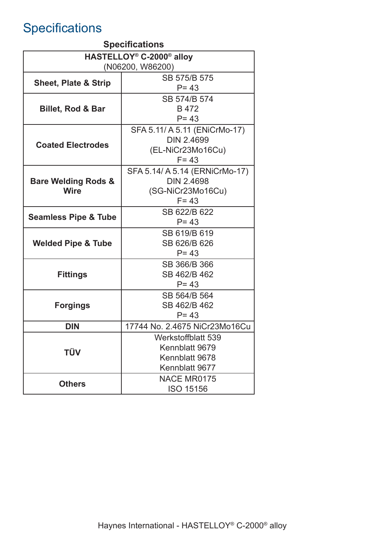# **Specifications**

| <b>Specifications</b>                            |                                |  |  |  |  |
|--------------------------------------------------|--------------------------------|--|--|--|--|
| HASTELLOY <sup>®</sup> C-2000 <sup>®</sup> alloy |                                |  |  |  |  |
| (N06200, W86200)                                 |                                |  |  |  |  |
|                                                  | SB 575/B 575                   |  |  |  |  |
| <b>Sheet, Plate &amp; Strip</b>                  | $P = 43$                       |  |  |  |  |
|                                                  | SB 574/B 574                   |  |  |  |  |
| <b>Billet, Rod &amp; Bar</b>                     | B 472                          |  |  |  |  |
|                                                  | $P = 43$                       |  |  |  |  |
|                                                  | SFA 5.11/ A 5.11 (ENiCrMo-17)  |  |  |  |  |
| <b>Coated Electrodes</b>                         | <b>DIN 2.4699</b>              |  |  |  |  |
|                                                  | (EL-NiCr23Mo16Cu)              |  |  |  |  |
|                                                  | $F = 43$                       |  |  |  |  |
|                                                  | SFA 5.14/ A 5.14 (ERNICrMo-17) |  |  |  |  |
| <b>Bare Welding Rods &amp;</b>                   | <b>DIN 2.4698</b>              |  |  |  |  |
| <b>Wire</b>                                      | (SG-NiCr23Mo16Cu)              |  |  |  |  |
|                                                  | $F = 43$                       |  |  |  |  |
|                                                  | SB 622/B 622                   |  |  |  |  |
| <b>Seamless Pipe &amp; Tube</b>                  | $P = 43$                       |  |  |  |  |
|                                                  | SB 619/B 619                   |  |  |  |  |
| <b>Welded Pipe &amp; Tube</b>                    | SB 626/B 626                   |  |  |  |  |
|                                                  | $P = 43$                       |  |  |  |  |
|                                                  | SB 366/B 366                   |  |  |  |  |
| <b>Fittings</b>                                  | SB 462/B 462                   |  |  |  |  |
|                                                  | $P = 43$                       |  |  |  |  |
|                                                  | SB 564/B 564                   |  |  |  |  |
| <b>Forgings</b>                                  | SB 462/B 462                   |  |  |  |  |
|                                                  | $P = 43$                       |  |  |  |  |
| DIN                                              | 17744 No. 2.4675 NiCr23Mo16Cu  |  |  |  |  |
|                                                  | Werkstoffblatt 539             |  |  |  |  |
| <b>TÜV</b>                                       | Kennblatt 9679                 |  |  |  |  |
|                                                  | Kennblatt 9678                 |  |  |  |  |
|                                                  | Kennblatt 9677                 |  |  |  |  |
| <b>Others</b>                                    | <b>NACE MR0175</b>             |  |  |  |  |
|                                                  | <b>ISO 15156</b>               |  |  |  |  |